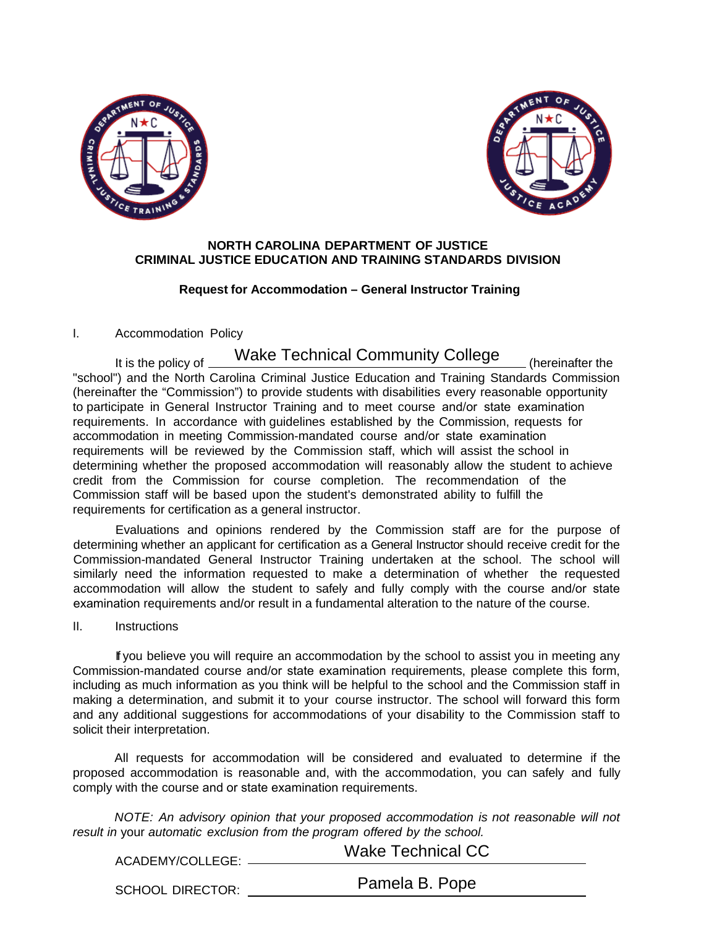



## **NORTH CAROLINA DEPARTMENT OF JUSTICE CRIMINAL JUSTICE EDUCATION AND TRAINING STANDARDS DIVISION**

#### **Request for Accommodation – General Instructor Training**

## I. Accommodation Policy

# It is the policy of Wake Technical Community College (hereinafter the

"school") and the North Carolina Criminal Justice Education and Training Standards Commission (hereinafter the "Commission") to provide students with disabilities every reasonable opportunity to participate in General Instructor Training and to meet course and/or state examination requirements. In accordance with guidelines established by the Commission, requests for accommodation in meeting Commission-mandated course and/or state examination requirements will be reviewed by the Commission staff, which will assist the school in determining whether the proposed accommodation will reasonably allow the student to achieve credit from the Commission for course completion. The recommendation of the Commission staff will be based upon the student's demonstrated ability to fulfill the requirements for certification as a general instructor.

Evaluations and opinions rendered by the Commission staff are for the purpose of determining whether an applicant for certification as a General Instructor should receive credit for the Commission-mandated General Instructor Training undertaken at the school. The school will similarly need the information requested to make a determination of whether the requested accommodation will allow the student to safely and fully comply with the course and/or state examination requirements and/or result in a fundamental alteration to the nature of the course.

#### II. Instructions

If you believe you will require an accommodation by the school to assist you in meeting any Commission-mandated course and/or state examination requirements, please complete this form, including as much information as you think will be helpful to the school and the Commission staff in making a determination, and submit it to your course instructor. The school will forward this form and any additional suggestions for accommodations of your disability to the Commission staff to solicit their interpretation.

All requests for accommodation will be considered and evaluated to determine if the proposed accommodation is reasonable and, with the accommodation, you can safely and fully comply with the course and or state examination requirements.

*NOTE: An advisory opinion that your proposed accommodation is not reasonable will not result in* your *automatic exclusion from the program offered by the school.*

| ACADEMY/COLLEGE:        | <b>Wake Technical CC</b> |
|-------------------------|--------------------------|
|                         |                          |
| <b>SCHOOL DIRECTOR:</b> | Pamela B. Pope           |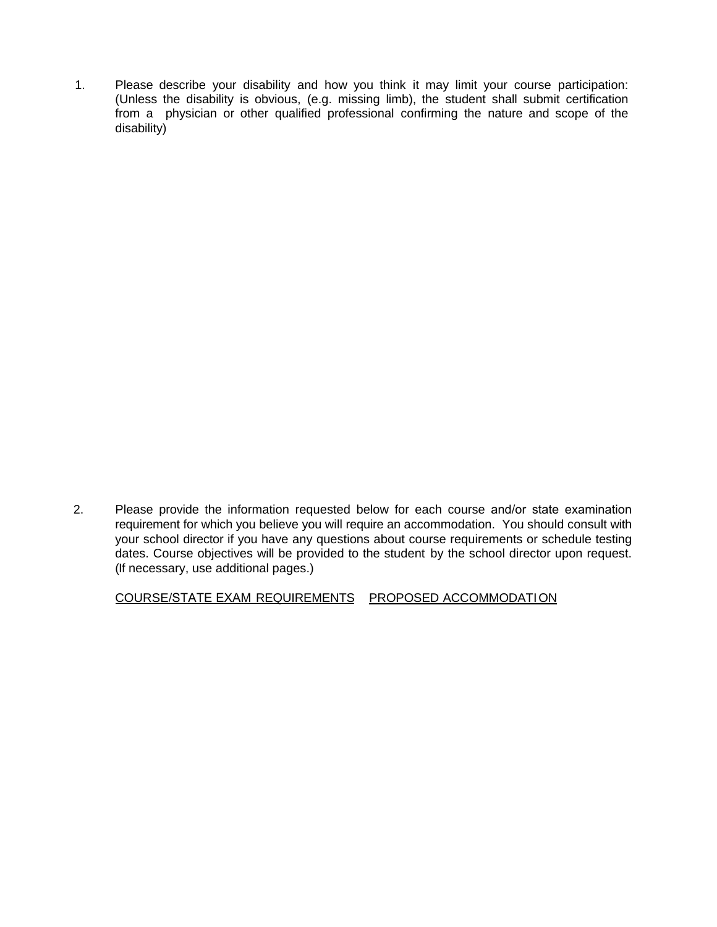1. Please describe your disability and how you think it may limit your course participation: (Unless the disability is obvious, (e.g. missing limb), the student shall submit certification from a physician or other qualified professional confirming the nature and scope of the disability)

2. Please provide the information requested below for each course and/or state examination requirement for which you believe you will require an accommodation. You should consult with your school director if you have any questions about course requirements or schedule testing dates. Course objectives will be provided to the student by the school director upon request. (If necessary, use additional pages.)

COURSE/STATE EXAM REQUIREMENTS PROPOSED ACCOMMODATION